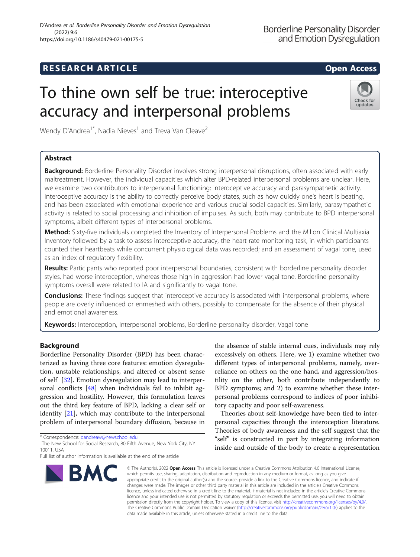## **RESEARCH ARTICLE Example 2014 12:30 The SEAR CH ACCESS**

Check for updates

# To thine own self be true: interoceptive accuracy and interpersonal problems

Wendy D'Andrea<sup>1\*</sup>, Nadia Nieves<sup>1</sup> and Treva Van Cleave<sup>2</sup>

### Abstract

Background: Borderline Personality Disorder involves strong interpersonal disruptions, often associated with early maltreatment. However, the individual capacities which alter BPD-related interpersonal problems are unclear. Here, we examine two contributors to interpersonal functioning: interoceptive accuracy and parasympathetic activity. Interoceptive accuracy is the ability to correctly perceive body states, such as how quickly one's heart is beating, and has been associated with emotional experience and various crucial social capacities. Similarly, parasympathetic activity is related to social processing and inhibition of impulses. As such, both may contribute to BPD interpersonal symptoms, albeit different types of interpersonal problems.

Method: Sixty-five individuals completed the Inventory of Interpersonal Problems and the Millon Clinical Multiaxial Inventory followed by a task to assess interoceptive accuracy, the heart rate monitoring task, in which participants counted their heartbeats while concurrent physiological data was recorded; and an assessment of vagal tone, used as an index of regulatory flexibility.

Results: Participants who reported poor interpersonal boundaries, consistent with borderline personality disorder styles, had worse interoception, whereas those high in aggression had lower vagal tone. Borderline personality symptoms overall were related to IA and significantly to vagal tone.

**Conclusions:** These findings suggest that interoceptive accuracy is associated with interpersonal problems, where people are overly influenced or enmeshed with others, possibly to compensate for the absence of their physical and emotional awareness.

Keywords: Interoception, Interpersonal problems, Borderline personality disorder, Vagal tone

#### Background

Borderline Personality Disorder (BPD) has been characterized as having three core features: emotion dysregulation, unstable relationships, and altered or absent sense of self [\[32](#page-5-0)]. Emotion dysregulation may lead to interpersonal conflicts [\[48](#page-6-0)] when individuals fail to inhibit aggression and hostility. However, this formulation leaves out the third key feature of BPD, lacking a clear self or identity [\[21](#page-5-0)], which may contribute to the interpersonal problem of interpersonal boundary diffusion, because in

\* Correspondence: [dandreaw@newschool.edu](mailto:dandreaw@newschool.edu) <sup>1</sup>

<sup>1</sup>The New School for Social Research, 80 Fifth Avenue, New York City, NY 10011, USA

Full list of author information is available at the end of the article



the absence of stable internal cues, individuals may rely excessively on others. Here, we 1) examine whether two different types of interpersonal problems, namely, overreliance on others on the one hand, and aggression/hostility on the other, both contribute independently to BPD symptoms; and 2) to examine whether these interpersonal problems correspond to indices of poor inhibitory capacity and poor self-awareness.

Theories about self-knowledge have been tied to interpersonal capacities through the interoception literature. Theories of body awareness and the self suggest that the "self" is constructed in part by integrating information inside and outside of the body to create a representation

© The Author(s), 2022 **Open Access** This article is licensed under a Creative Commons Attribution 4.0 International License, which permits use, sharing, adaptation, distribution and reproduction in any medium or format, as long as you give appropriate credit to the original author(s) and the source, provide a link to the Creative Commons licence, and indicate if changes were made. The images or other third party material in this article are included in the article's Creative Commons licence, unless indicated otherwise in a credit line to the material. If material is not included in the article's Creative Commons licence and your intended use is not permitted by statutory regulation or exceeds the permitted use, you will need to obtain permission directly from the copyright holder. To view a copy of this licence, visit [http://creativecommons.org/licenses/by/4.0/.](http://creativecommons.org/licenses/by/4.0/) The Creative Commons Public Domain Dedication waiver [\(http://creativecommons.org/publicdomain/zero/1.0/](http://creativecommons.org/publicdomain/zero/1.0/)) applies to the data made available in this article, unless otherwise stated in a credit line to the data.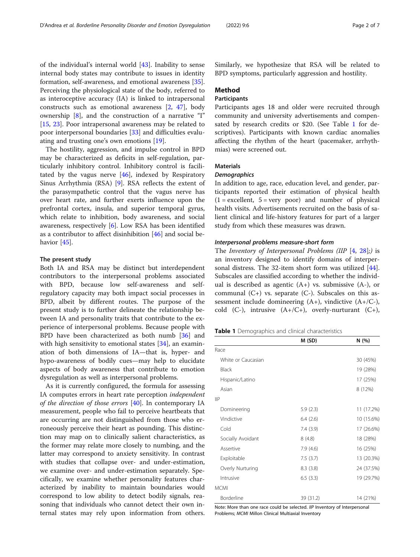<span id="page-1-0"></span>of the individual's internal world [[43](#page-6-0)]. Inability to sense internal body states may contribute to issues in identity formation, self-awareness, and emotional awareness [\[35](#page-6-0)]. Perceiving the physiological state of the body, referred to as interoceptive accuracy (IA) is linked to intrapersonal constructs such as emotional awareness [[2,](#page-5-0) [47](#page-6-0)], body ownership [\[8](#page-5-0)], and the construction of a narrative "I" [[15,](#page-5-0) [23\]](#page-5-0). Poor intrapersonal awareness may be related to poor interpersonal boundaries [[33](#page-5-0)] and difficulties evaluating and trusting one's own emotions [\[19](#page-5-0)].

The hostility, aggression, and impulse control in BPD may be characterized as deficits in self-regulation, particularly inhibitory control. Inhibitory control is facilitated by the vagus nerve  $[46]$  $[46]$  $[46]$ , indexed by Respiratory Sinus Arrhythmia (RSA) [\[9](#page-5-0)]. RSA reflects the extent of the parasympathetic control that the vagus nerve has over heart rate, and further exerts influence upon the prefrontal cortex, insula, and superior temporal gyrus, which relate to inhibition, body awareness, and social awareness, respectively [\[6](#page-5-0)]. Low RSA has been identified as a contributor to affect disinhibition [\[46\]](#page-6-0) and social be-havior [\[45](#page-6-0)].

#### The present study

Both IA and RSA may be distinct but interdependent contributors to the interpersonal problems associated with BPD, because low self-awareness and selfregulatory capacity may both impact social processes in BPD, albeit by different routes. The purpose of the present study is to further delineate the relationship between IA and personality traits that contribute to the experience of interpersonal problems. Because people with BPD have been characterized as both numb [\[36](#page-6-0)] and with high sensitivity to emotional states [\[34\]](#page-5-0), an examination of both dimensions of IA—that is, hyper- and hypo-awareness of bodily cues—may help to elucidate aspects of body awareness that contribute to emotion dysregulation as well as interpersonal problems.

As it is currently configured, the formula for assessing IA computes errors in heart rate perception independent of the direction of those errors  $[40]$  $[40]$ . In contemporary IA measurement, people who fail to perceive heartbeats that are occurring are not distinguished from those who erroneously perceive their heart as pounding. This distinction may map on to clinically salient characteristics, as the former may relate more closely to numbing, and the latter may correspond to anxiety sensitivity. In contrast with studies that collapse over- and under-estimation, we examine over- and under-estimation separately. Specifically, we examine whether personality features characterized by inability to maintain boundaries would correspond to low ability to detect bodily signals, reasoning that individuals who cannot detect their own internal states may rely upon information from others. Similarly, we hypothesize that RSA will be related to BPD symptoms, particularly aggression and hostility.

#### Method

#### **Participants**

Participants ages 18 and older were recruited through community and university advertisements and compensated by research credits or \$20. (See Table 1 for descriptives). Participants with known cardiac anomalies affecting the rhythm of the heart (pacemaker, arrhythmias) were screened out.

#### **Materials**

#### **Demographics**

In addition to age, race, education level, and gender, participants reported their estimation of physical health  $(1 = \text{excellent}, 5 = \text{very poor})$  and number of physical health visits. Advertisements recruited on the basis of salient clinical and life-history features for part of a larger study from which these measures was drawn.

#### Interpersonal problems measure-short form

The Inventory of Interpersonal Problems (IIP [[4,](#page-5-0) [28\]](#page-5-0);) is an inventory designed to identify domains of interpersonal distress. The 32-item short form was utilized [\[44](#page-6-0)]. Subscales are classified according to whether the individual is described as agentic  $(A+)$  vs. submissive  $(A-)$ , or communal  $(C+)$  vs. separate  $(C-)$ . Subscales on this assessment include domineering  $(A+)$ , vindictive  $(A+/C-)$ , cold  $(C-$ ), intrusive  $(A+/C+)$ , overly-nurturant  $(C+)$ ,

Table 1 Demographics and clinical characteristics

|                    | M(SD)     | N (%)      |
|--------------------|-----------|------------|
| Race               |           |            |
| White or Caucasian |           | 30 (45%)   |
| <b>Black</b>       |           | 19 (28%)   |
| Hispanic/Latino    |           | 17 (25%)   |
| Asian              |           | 8 (12%)    |
| IIP                |           |            |
| Domineering        | 5.9(2.3)  | 11 (17.2%) |
| Vindictive         | 6.4(2.6)  | 10 (15.6%) |
| Cold               | 7.4(3.9)  | 17 (26.6%) |
| Socially Avoidant  | 8(4.8)    | 18 (28%)   |
| Assertive          | 7.9(4.6)  | 16 (25%)   |
| Exploitable        | 7.5(3.7)  | 13 (20.3%) |
| Overly Nurturing   | 8.3(3.8)  | 24 (37.5%) |
| Intrusive          | 6.5(3.3)  | 19 (29.7%) |
| <b>MCMI</b>        |           |            |
| Borderline         | 39 (31.2) | 14 (21%)   |

Note: More than one race could be selected. IIP Inventory of Interpersonal Problems; MCMI Millon Clinical Multiaxial Inventory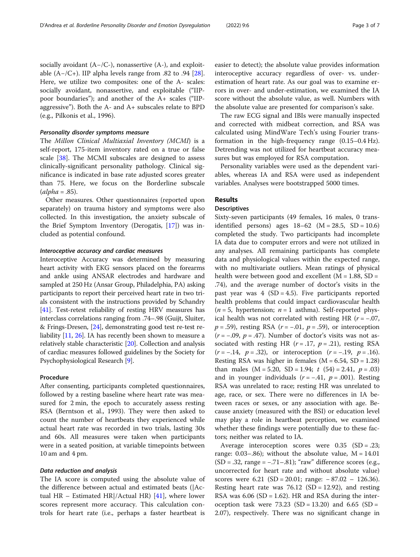socially avoidant (A−/C-), nonassertive (A-), and exploitable  $(A−/C+)$ . IIP alpha levels range from .82 to .94 [\[28](#page-5-0)]. Here, we utilize two composites: one of the A- scales: socially avoidant, nonassertive, and exploitable ("IIPpoor boundaries"); and another of the A+ scales ("IIPaggressive"). Both the A- and A+ subscales relate to BPD (e.g., Pilkonis et al., 1996).

#### Personality disorder symptoms measure

The Millon Clinical Multiaxial Inventory (MCMI) is a self-report, 175-item inventory rated on a true or false scale [[38](#page-6-0)]. The MCMI subscales are designed to assess clinically-significant personality pathology. Clinical significance is indicated in base rate adjusted scores greater than 75. Here, we focus on the Borderline subscale  $(alpha = .85).$ 

Other measures. Other questionnaires (reported upon separately) on trauma history and symptoms were also collected. In this investigation, the anxiety subscale of the Brief Symptom Inventory (Derogatis, [\[17](#page-5-0)]) was included as potential confound.

#### Interoceptive accuracy and cardiac measures

Interoceptive Accuracy was determined by measuring heart activity with EKG sensors placed on the forearms and ankle using ANSAR electrodes and hardware and sampled at 250 Hz (Ansar Group, Philadelphia, PA) asking participants to report their perceived heart rate in two trials consistent with the instructions provided by Schandry [[41](#page-6-0)]. Test-retest reliability of resting HRV measures has interclass correlations ranging from .74–.98 (Guijt, Sluiter, & Frings-Dresen, [[24](#page-5-0)], demonstrating good test re-test reliability [[11](#page-5-0), [26\]](#page-5-0). IA has recently been shown to measure a relatively stable characteristic [\[20\]](#page-5-0). Collection and analysis of cardiac measures followed guidelines by the Society for Psychophysiological Research [\[9](#page-5-0)].

#### Procedure

After consenting, participants completed questionnaires, followed by a resting baseline where heart rate was measured for 2 min, the epoch to accurately assess resting RSA (Berntson et al., 1993). They were then asked to count the number of heartbeats they experienced while actual heart rate was recorded in two trials, lasting 30s and 60s. All measures were taken when participants were in a seated position, at variable timepoints between 10 am and 4 pm.

#### Data reduction and analysis

The IA score is computed using the absolute value of the difference between actual and estimated beats (|Actual HR – Estimated HR|/Actual HR)  $[41]$  $[41]$ , where lower scores represent more accuracy. This calculation controls for heart rate (i.e., perhaps a faster heartbeat is

easier to detect); the absolute value provides information interoceptive accuracy regardless of over- vs. underestimation of heart rate. As our goal was to examine errors in over- and under-estimation, we examined the IA score without the absolute value, as well. Numbers with the absolute value are presented for comparison's sake.

The raw ECG signal and IBIs were manually inspected and corrected with midbeat correction, and RSA was calculated using MindWare Tech's using Fourier transformation in the high-frequency range (0.15–0.4 Hz). Detrending was not utilized for heartbeat accuracy measures but was employed for RSA computation.

Personality variables were used as the dependent variables, whereas IA and RSA were used as independent variables. Analyses were bootstrapped 5000 times.

### Results

#### **Descriptives**

Sixty-seven participants (49 females, 16 males, 0 transidentified persons) ages  $18-62$  (M = 28.5, SD = 10.6) completed the study. Two participants had incomplete IA data due to computer errors and were not utilized in any analyses. All remaining participants has complete data and physiological values within the expected range, with no multivariate outliers. Mean ratings of physical health were between good and excellent  $(M = 1.88, SD =$ .74), and the average number of doctor's visits in the past year was  $4$  (SD = 4.5). Five participants reported health problems that could impact cardiovascular health  $(n = 5,$  hypertension;  $n = 1$  asthma). Self-reported physical health was not correlated with resting HR ( $r = -.07$ ,  $p = .59$ ), resting RSA ( $r = -.01$ ,  $p = .59$ ), or interoception  $(r = -.09, p = .47)$ . Number of doctor's visits was not associated with resting HR  $(r=.17, p=.21)$ , resting RSA  $(r = -.14, p = .32)$ , or interoception  $(r = -.19, p = .16)$ . Resting RSA was higher in females ( $M = 6.54$ ,  $SD = 1.28$ ) than males  $(M = 5.20, SD = 1.94; t (54) = 2.41, p = .03)$ and in younger individuals  $(r = -.41, p = .001)$ . Resting RSA was unrelated to race; resting HR was unrelated to age, race, or sex. There were no differences in IA between races or sexes, or any association with age. Because anxiety (measured with the BSI) or education level may play a role in heartbeat perception, we examined whether these findings were potentially due to these factors; neither was related to IA.

Average interoception scores were 0.35 (SD = .23; range: 0.03–.86); without the absolute value,  $M = 14.01$  $(SD = .32, range = -.71-.81);$  "raw" difference scores (e.g., uncorrected for heart rate and without absolute value) scores were 6.21 (SD = 20.01; range: − 87.02 – 126.36). Resting heart rate was  $76.12$  (SD = 12.92), and resting RSA was  $6.06$  (SD = 1.62). HR and RSA during the interoception task were 73.23 (SD = 13.20) and 6.65 (SD = 2.07), respectively. There was no significant change in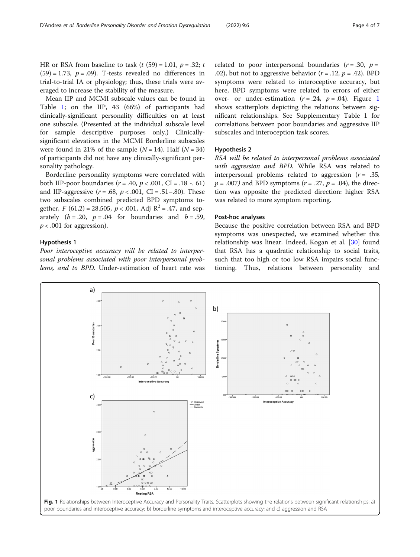HR or RSA from baseline to task  $(t$  (59) = 1.01,  $p = .32$ ; t  $(59) = 1.73$ ,  $p = .09$ ). T-tests revealed no differences in trial-to-trial IA or physiology; thus, these trials were averaged to increase the stability of the measure.

Mean IIP and MCMI subscale values can be found in Table [1;](#page-1-0) on the IIP, 43 (66%) of participants had clinically-significant personality difficulties on at least one subscale. (Presented at the individual subscale level for sample descriptive purposes only.) Clinicallysignificant elevations in the MCMI Borderline subscales were found in 21% of the sample  $(N = 14)$ . Half  $(N = 34)$ of participants did not have any clinically-significant personality pathology.

Borderline personality symptoms were correlated with both IIP-poor boundaries ( $r = .40$ ,  $p < .001$ , CI = .18 -. 61) and IIP-aggressive ( $r = .68$ ,  $p < .001$ , CI = .51-.80). These two subscales combined predicted BPD symptoms together,  $F(61,2) = 28.505$ ,  $p < .001$ , Adj  $R^2 = .47$ , and separately  $(b = .20, p = .04$  for boundaries and  $b = .59$ ,  $p < .001$  for aggression).

#### Hypothesis 1

Poor interoceptive accuracy will be related to interpersonal problems associated with poor interpersonal problems, and to BPD. Under-estimation of heart rate was

related to poor interpersonal boundaries ( $r = .30$ ,  $p =$ .02), but not to aggressive behavior  $(r = .12, p = .42)$ . BPD symptoms were related to interoceptive accuracy, but here, BPD symptoms were related to errors of either over- or under-estimation  $(r=.24, p=.04)$ . Figure 1 shows scatterplots depicting the relations between significant relationships. See Supplementary Table 1 for correlations between poor boundaries and aggressive IIP subscales and interoception task scores.

#### Hypothesis 2

RSA will be related to interpersonal problems associated with aggression and BPD. While RSA was related to interpersonal problems related to aggression  $(r = .35, )$  $p = .007$ ) and BPD symptoms ( $r = .27$ ,  $p = .04$ ), the direction was opposite the predicted direction: higher RSA was related to more symptom reporting.

#### Post-hoc analyses

Because the positive correlation between RSA and BPD symptoms was unexpected, we examined whether this relationship was linear. Indeed, Kogan et al. [[30](#page-5-0)] found that RSA has a quadratic relationship to social traits, such that too high or too low RSA impairs social functioning. Thus, relations between personality and

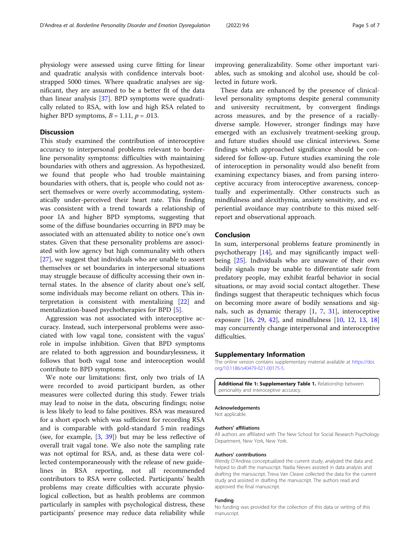physiology were assessed using curve fitting for linear and quadratic analysis with confidence intervals bootstrapped 5000 times. Where quadratic analyses are significant, they are assumed to be a better fit of the data than linear analysis [\[37](#page-6-0)]. BPD symptoms were quadratically related to RSA, with low and high RSA related to higher BPD symptoms,  $B = 1.11$ ,  $p = .013$ .

#### **Discussion**

This study examined the contribution of interoceptive accuracy to interpersonal problems relevant to borderline personality symptoms: difficulties with maintaining boundaries with others and aggression. As hypothesized, we found that people who had trouble maintaining boundaries with others, that is, people who could not assert themselves or were overly accommodating, systematically under-perceived their heart rate. This finding was consistent with a trend towards a relationship of poor IA and higher BPD symptoms, suggesting that some of the diffuse boundaries occurring in BPD may be associated with an attenuated ability to notice one's own states. Given that these personality problems are associated with low agency but high communality with others [[27\]](#page-5-0), we suggest that individuals who are unable to assert themselves or set boundaries in interpersonal situations may struggle because of difficulty accessing their own internal states. In the absence of clarity about one's self, some individuals may become reliant on others. This interpretation is consistent with mentalizing [[22](#page-5-0)] and mentalization-based psychotherapies for BPD [\[5\]](#page-5-0).

Aggression was not associated with interoceptive accuracy. Instead, such interpersonal problems were associated with low vagal tone, consistent with the vagus' role in impulse inhibition. Given that BPD symptoms are related to both aggression and boundarylessness, it follows that both vagal tone and interoception would contribute to BPD symptoms.

We note our limitations: first, only two trials of IA were recorded to avoid participant burden, as other measures were collected during this study. Fewer trials may lead to noise in the data, obscuring findings; noise is less likely to lead to false positives. RSA was measured for a short epoch which was sufficient for recording RSA and is comparable with gold-standard 5 min readings (see, for example, [\[3](#page-5-0), [39](#page-6-0)]) but may be less reflective of overall trait vagal tone. We also note the sampling rate was not optimal for RSA, and, as these data were collected contemporaneously with the release of new guidelines in RSA reporting, not all recommended contributors to RSA were collected. Participants' health problems may create difficulties with accurate physiological collection, but as health problems are common particularly in samples with psychological distress, these participants' presence may reduce data reliability while

improving generalizability. Some other important variables, such as smoking and alcohol use, should be collected in future work.

These data are enhanced by the presence of clinicallevel personality symptoms despite general community and university recruitment, by convergent findings across measures, and by the presence of a raciallydiverse sample. However, stronger findings may have emerged with an exclusively treatment-seeking group, and future studies should use clinical interviews. Some findings which approached significance should be considered for follow-up. Future studies examining the role of interoception in personality would also benefit from examining expectancy biases, and from parsing interoceptive accuracy from interoceptive awareness, conceptually and experimentally. Other constructs such as mindfulness and alexithymia, anxiety sensitivity, and experiential avoidance may contribute to this mixed selfreport and observational approach.

#### Conclusion

In sum, interpersonal problems feature prominently in psychotherapy [\[14](#page-5-0)], and may significantly impact wellbeing [\[25\]](#page-5-0). Individuals who are unaware of their own bodily signals may be unable to differentiate safe from predatory people, may exhibit fearful behavior in social situations, or may avoid social contact altogether. These findings suggest that therapeutic techniques which focus on becoming more aware of bodily sensations and signals, such as dynamic therapy [\[1](#page-5-0), [7,](#page-5-0) [31\]](#page-5-0), interoceptive exposure [[16,](#page-5-0) [29,](#page-5-0) [42](#page-6-0)], and mindfulness [[10,](#page-5-0) [12,](#page-5-0) [13](#page-5-0), [18](#page-5-0)] may concurrently change interpersonal and interoceptive difficulties.

#### Supplementary Information

The online version contains supplementary material available at [https://doi.](https://doi.org/10.1186/s40479-021-00175-5) [org/10.1186/s40479-021-00175-5.](https://doi.org/10.1186/s40479-021-00175-5)

Additional file 1: Supplementary Table 1. Relationship between personality and interoceptive accuracy.

#### Acknowledgements

Not applicable.

#### Authors' affiliations

All authors are affiliated with The New School for Social Research Psychology Department, New York, New York.

#### Authors' contributions

Wendy D'Andrea conceptualized the current study, analyzed the data and helped to draft the manuscript. Nadia Nieves assisted in data analysis and drafting the manuscript. Treva Van Cleave collected the data for the current study and assisted in drafting the manuscript. The authors read and approved the final manuscript.

#### Funding

No funding was provided for the collection of this data or writing of this manuscript.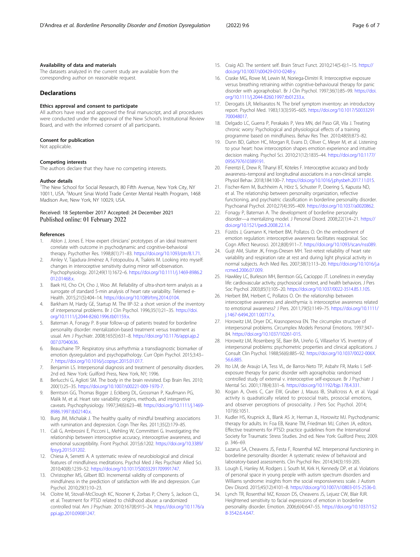#### <span id="page-5-0"></span>Availability of data and materials

The datasets analyzed in the current study are available from the corresponding author on reasonable request.

#### Declarations

#### Ethics approval and consent to participate

All authors have read and approved the final manuscript, and all procedures were conducted under the approval of the New School's Institutional Review Board, and with the informed consent of all participants.

#### Consent for publication

Not applicable.

#### Competing interests

The authors declare that they have no competing interests.

#### Author details

<sup>1</sup>The New School for Social Research, 80 Fifth Avenue, New York City, NY 10011, USA. <sup>2</sup>Mount Sinai World Trade Center Mental Health Program, 1468 Madison Ave, New York, NY 10029, USA.

#### Received: 18 September 2017 Accepted: 24 December 2021 Published online: 01 February 2022

#### References

- 1. Ablon J, Jones E. How expert clinicians' prototypes of an ideal treatment correlate with outcome in psychodynamic and cognitive-behavioral therapy. Psychother Res. 1998;8(1):71–83. [https://doi.org/10.1093/ptr/8.1.71.](https://doi.org/10.1093/ptr/8.1.71)
- 2. Ainley V, Tajadura-Jiménez A, Fotopoulou A, Tsakiris M. Looking into myself: changes in interoceptive sensitivity during mirror self-observation. Psychophysiology. 2012;49(11):1672–6. [https://doi.org/10.1111/j.1469-8986.2](https://doi.org/10.1111/j.1469-8986.2012.01468.x) [012.01468.x](https://doi.org/10.1111/j.1469-8986.2012.01468.x).
- 3. Baek HJ, Cho CH, Cho J, Woo JM. Reliability of ultra-short-term analysis as a surrogate of standard 5-min analysis of heart rate variability. Telemed e-Health. 2015;21(5):404–14. [https://doi.org/10.1089/tmj.2014.0104.](https://doi.org/10.1089/tmj.2014.0104)
- 4. Barkham M, Hardy GE, Startup M. The IIP-32: a short version of the inventory of interpersonal problems. Br J Clin Psychol. 1996;35(1):21–35. [https://doi.](https://doi.org/10.1111/j.2044-8260.1996.tb01159.x) [org/10.1111/j.2044-8260.1996.tb01159.x](https://doi.org/10.1111/j.2044-8260.1996.tb01159.x).
- Bateman A, Fonagy P. 8-year follow-up of patients treated for borderline personality disorder: mentalization-based treatment versus treatment as usual. Am J Psychiatr. 2008;165(5):631–8. [https://doi.org/10.1176/appi.ajp.2](https://doi.org/10.1176/appi.ajp.2007.07040636) [007.07040636](https://doi.org/10.1176/appi.ajp.2007.07040636).
- 6. Beauchaine TP. Respiratory sinus arrhythmia: a transdiagnostic biomarker of emotion dysregulation and psychopathology. Curr Opin Psychol. 2015;3:43– 7. <https://doi.org/10.1016/j.copsyc.2015.01.017>.
- Benjamin LS. Interpersonal diagnosis and treatment of personality disorders. 2nd ed. New York: Guilford Press, New York, NY; 1996.
- 8. Berlucchi G, Aglioti SM. The body in the brain revisited. Exp Brain Res. 2010; 200(1):25–35. <https://doi.org/10.1007/s00221-009-1970-7>.
- 9. Berntson GG, Thomas Bigger J, Eckberg DL, Grossman P, Kaufmann PG, Malik M, et al. Heart rate variability: origins, methods, and interpretive caveats. Psychophysiology. 1997;34(6):623–48. [https://doi.org/10.1111/j.1469-](https://doi.org/10.1111/j.1469-8986.1997.tb02140.x) [8986.1997.tb02140.x.](https://doi.org/10.1111/j.1469-8986.1997.tb02140.x)
- 10. Burg JM, Michalak J. The healthy quality of mindful breathing: associations with rumination and depression. Cogn Ther Res. 2011;35(2):179–85.
- 11. Calì G, Ambrosini E, Picconi L, Mehling W, Committeri G. Investigating the relationship between interoceptive accuracy, interoceptive awareness, and emotional susceptibility. Front Psychol. 2015;6:1202. [https://doi.org/10.3389/](https://doi.org/10.3389/fpsyg.2015.01202) [fpsyg.2015.01202](https://doi.org/10.3389/fpsyg.2015.01202).
- 12. Chiesa A, Serretti A. A systematic review of neurobiological and clinical features of mindfulness meditations. Psychol Med J Res Psychiatr Allied Sci. 2010;40(8):1239–52. <https://doi.org/10.1017/S0033291709991747>.
- 13. Christopher MS, Gilbert BD. Incremental validity of components of mindfulness in the prediction of satisfaction with life and depression. Curr Psychol. 2010;29(1):10–23.
- 14. Cloitre M, Stovall-McClough KC, Nooner K, Zorbas P, Cherry S, Jackson CL, et al. Treatment for PTSD related to childhood abuse: a randomized controlled trial. Am J Psychiatr. 2010;167(8):915–24. [https://doi.org/10.1176/a](https://doi.org/10.1176/appi.ajp.2010.09081247) [ppi.ajp.2010.09081247.](https://doi.org/10.1176/appi.ajp.2010.09081247)
- 15. Craig AD. The sentient self. Brain Struct Funct. 2010;214(5-6):1–15. [https://](https://doi.org/10.1007/s00429-010-0248-y) [doi.org/10.1007/s00429-010-0248-y](https://doi.org/10.1007/s00429-010-0248-y).
- 16. Craske MG, Rowe M, Lewin M, Noriega-Dimitri R. Interoceptive exposure versus breathing retraining within cognitive-behavioural therapy for panic disorder with agoraphobia1. Br J Clin Psychol. 1997;36(1):85–99. [https://doi.](https://doi.org/10.1111/j.2044-8260.1997.tb01233.x) [org/10.1111/j.2044-8260.1997.tb01233.x](https://doi.org/10.1111/j.2044-8260.1997.tb01233.x).
- 17. Derogatis LR, Melisaratos N. The brief symptom inventory: an introductory report. Psychol Med. 1983;13(3):595–605. [https://doi.org/10.1017/S0033291](https://doi.org/10.1017/S0033291700048017) [700048017](https://doi.org/10.1017/S0033291700048017).
- 18. Delgado LC, Guerra P, Perakakis P, Vera MN, del Paso GR, Vila J. Treating chronic worry: Psychological and physiological effects of a training programme based on mindfulness. Behav Res Ther. 2010;48(9):873–82.
- 19. Dunn BD, Galton HC, Morgan R, Evans D, Oliver C, Meyer M, et al. Listening to your heart: how interoception shapes emotion experience and intuitive decision making. Psychol Sci. 2010;21(12):1835–44. [https://doi.org/10.1177/](https://doi.org/10.1177/0956797610389191) [0956797610389191](https://doi.org/10.1177/0956797610389191).
- 20. Ferentzi E, Drew R, Tihanyi BT, Köteles F. Interoceptive accuracy and body awareness–temporal and longitudinal associations in a non-clinical sample. Physiol Behav. 2018;184:100–7. <https://doi.org/10.1016/j.physbeh.2017.11.015>.
- 21. Fischer-Kern M, Buchheim A, Hörz S, Schuster P, Doering S, Kapusta ND, et al. The relationship between personality organization, reflective functioning, and psychiatric classification in borderline personality disorder. Psychoanal Psychol. 2010;27(4):395–409. [https://doi.org/10.1037/a0020862.](https://doi.org/10.1037/a0020862)
- 22. Fonagy P, Bateman A. The development of borderline personality disorder—a mentalizing model. J Personal Disord. 2008;22(1):4–21. [https://](https://doi.org/10.1521/pedi.2008.22.1.4) [doi.org/10.1521/pedi.2008.22.1.4.](https://doi.org/10.1521/pedi.2008.22.1.4)
- 23. Füstös J, Gramann K, Herbert BM, Pollatos O, On the embodiment of emotion regulation: interoceptive awareness facilitates reappraisal. Soc Cogn Affect Neurosci. 2012;8(8):911–7. [https://doi.org/10.1093/scan/nss089.](https://doi.org/10.1093/scan/nss089)
- 24. Guijt AM, Sluiter JK, Frings-Dresen MH. Test-retest reliability of heart rate variability and respiration rate at rest and during light physical activity in normal subjects. Arch Med Res. 2007;38(1):113–20. [https://doi.org/10.1016/j.a](https://doi.org/10.1016/j.arcmed.2006.07.009) [rcmed.2006.07.009](https://doi.org/10.1016/j.arcmed.2006.07.009).
- 25. Hawkley LC, Burleson MH, Berntson GG, Cacioppo JT. Loneliness in everyday life: cardiovascular activity, psychosocial context, and health behaviors. J Pers Soc Psychol. 2003;85(1):105–20. <https://doi.org/10.1037/0022-3514.85.1.105>.
- 26. Herbert BM, Herbert C, Pollatos O. On the relationship between interoceptive awareness and alexithymia: is interoceptive awareness related to emotional awareness? J Pers. 2011;79(5):1149–75. [https://doi.org/10.1111/](https://doi.org/10.1111/j.1467-6494.2011.00717.x) [j.1467-6494.2011.00717.x](https://doi.org/10.1111/j.1467-6494.2011.00717.x).
- 27. Horowitz LM, Dryer DC, Krasnoperova EN. The circumplex structure of interpersonal problems. Circumplex Models Personal Emotions. 1997:347– 84. <https://doi.org/10.1037/10261-015>.
- 28. Horowitz LM, Rosenberg SE, Baer BA, Ureño G, Villaseñor VS. Inventory of interpersonal problems: psychometric properties and clinical applications. J Consult Clin Psychol. 1988;56(6):885–92. [https://doi.org/10.1037/0022-006X.](https://doi.org/10.1037/0022-006X.56.6.885) [56.6.885.](https://doi.org/10.1037/0022-006X.56.6.885)
- 29. Ito LM, de Araujo LA, Tess VL, de Barros-Neto TP, Asbahr FR, Marks I. Selfexposure therapy for panic disorder with agoraphobia: randomised controlled study of external v. interoceptive self-exposure. Br J Psychiatr J Mental Sci. 2001;178(4):331–6. <https://doi.org/10.1192/bjp.178.4.331>.
- 30. Kogan A, Oveis C, Carr EW, Gruber J, Mauss IB, Shallcross A, et al. Vagal activity is quadratically related to prosocial traits, prosocial emotions, and observer perceptions of prosociality. J Pers Soc Psychol. 2014; 107(6):1051.
- 31. Kudler HS, Krupnick JL, Blank AS Jr, Herman JL, Horowitz MJ. Psychodynamic therapy for adults. In: Foa EB, Keane TM, Friedman MJ, Cohen JA, editors. Effective treatments for PTSD: practice guidelines from the International Society for Traumatic Stress Studies. 2nd ed. New York: Guilford Press; 2009. p. 346–69.
- 32. Lazarus SA, Cheavens JS, Festa F, Rosenthal MZ. Interpersonal functioning in borderline personality disorder: A systematic review of behavioral and laboratory-based assessments. Clin Psychol Rev. 2014;34(3):193-205.
- 33. Lough E, Hanley M, Rodgers J, South M, Kirk H, Kennedy DP, et al. Violations of personal space in young people with autism spectrum disorders and Williams syndrome: insights from the social responsiveness scale. J Autism Dev Disord. 2015;45(12):4101–8. [https://doi.org/10.1007/s10803-015-2536-0.](https://doi.org/10.1007/s10803-015-2536-0)
- 34. Lynch TR, Rosenthal MZ, Kosson DS, Cheavens JS, Lejuez CW, Blair RJR. Heightened sensitivity to facial expressions of emotion in borderline personality disorder. Emotion. 2006;6(4):647–55. [https://doi.org/10.1037/152](https://doi.org/10.1037/1528-3542.6.4.647) 8-354264647